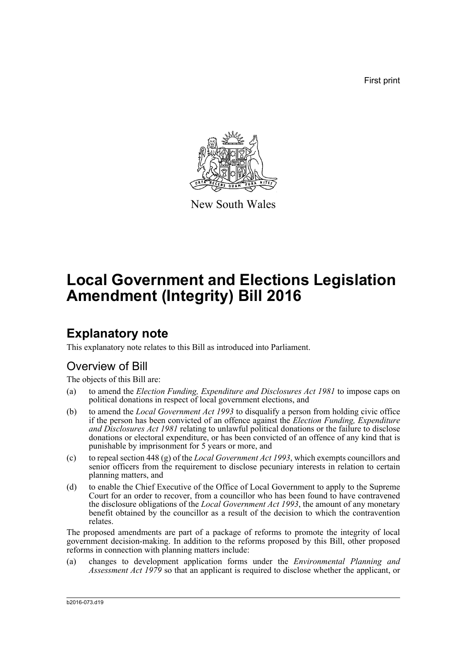First print



New South Wales

# **Local Government and Elections Legislation Amendment (Integrity) Bill 2016**

## **Explanatory note**

This explanatory note relates to this Bill as introduced into Parliament.

## Overview of Bill

The objects of this Bill are:

- (a) to amend the *Election Funding, Expenditure and Disclosures Act 1981* to impose caps on political donations in respect of local government elections, and
- (b) to amend the *Local Government Act 1993* to disqualify a person from holding civic office if the person has been convicted of an offence against the *Election Funding, Expenditure and Disclosures Act 1981* relating to unlawful political donations or the failure to disclose donations or electoral expenditure, or has been convicted of an offence of any kind that is punishable by imprisonment for 5 years or more, and
- (c) to repeal section 448 (g) of the *Local Government Act 1993*, which exempts councillors and senior officers from the requirement to disclose pecuniary interests in relation to certain planning matters, and
- (d) to enable the Chief Executive of the Office of Local Government to apply to the Supreme Court for an order to recover, from a councillor who has been found to have contravened the disclosure obligations of the *Local Government Act 1993*, the amount of any monetary benefit obtained by the councillor as a result of the decision to which the contravention relates.

The proposed amendments are part of a package of reforms to promote the integrity of local government decision-making. In addition to the reforms proposed by this Bill, other proposed reforms in connection with planning matters include:

(a) changes to development application forms under the *Environmental Planning and Assessment Act 1979* so that an applicant is required to disclose whether the applicant, or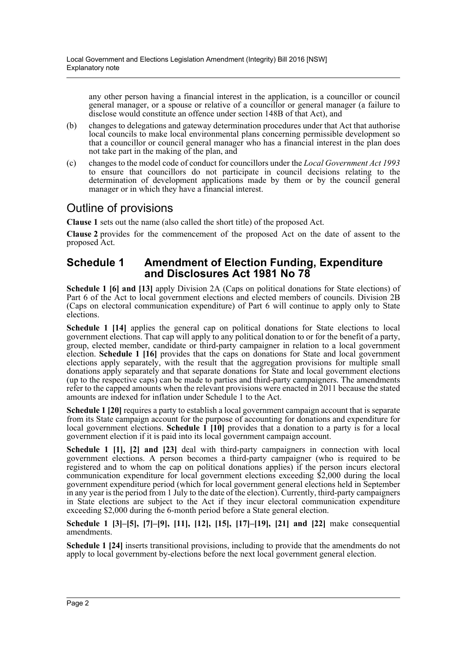any other person having a financial interest in the application, is a councillor or council general manager, or a spouse or relative of a councillor or general manager (a failure to disclose would constitute an offence under section 148B of that Act), and

- (b) changes to delegations and gateway determination procedures under that Act that authorise local councils to make local environmental plans concerning permissible development so that a councillor or council general manager who has a financial interest in the plan does not take part in the making of the plan, and
- (c) changes to the model code of conduct for councillors under the *Local Government Act 1993* to ensure that councillors do not participate in council decisions relating to the determination of development applications made by them or by the council general manager or in which they have a financial interest.

### Outline of provisions

**Clause 1** sets out the name (also called the short title) of the proposed Act.

**Clause 2** provides for the commencement of the proposed Act on the date of assent to the proposed Act.

### **Schedule 1 Amendment of Election Funding, Expenditure and Disclosures Act 1981 No 78**

**Schedule 1 [6] and [13]** apply Division 2A (Caps on political donations for State elections) of Part 6 of the Act to local government elections and elected members of councils. Division 2B (Caps on electoral communication expenditure) of Part 6 will continue to apply only to State elections.

**Schedule 1 [14]** applies the general cap on political donations for State elections to local government elections. That cap will apply to any political donation to or for the benefit of a party, group, elected member, candidate or third-party campaigner in relation to a local government election. **Schedule 1 [16]** provides that the caps on donations for State and local government elections apply separately, with the result that the aggregation provisions for multiple small donations apply separately and that separate donations for State and local government elections (up to the respective caps) can be made to parties and third-party campaigners. The amendments refer to the capped amounts when the relevant provisions were enacted in 2011 because the stated amounts are indexed for inflation under Schedule 1 to the Act.

**Schedule 1 [20]** requires a party to establish a local government campaign account that is separate from its State campaign account for the purpose of accounting for donations and expenditure for local government elections. **Schedule 1** [10] provides that a donation to a party is for a local government election if it is paid into its local government campaign account.

**Schedule 1 [1], [2] and [23]** deal with third-party campaigners in connection with local government elections. A person becomes a third-party campaigner (who is required to be registered and to whom the cap on political donations applies) if the person incurs electoral communication expenditure for local government elections exceeding \$2,000 during the local government expenditure period (which for local government general elections held in September in any year is the period from 1 July to the date of the election). Currently, third-party campaigners in State elections are subject to the Act if they incur electoral communication expenditure exceeding \$2,000 during the 6-month period before a State general election.

**Schedule 1 [3]–[5], [7]–[9], [11], [12], [15], [17]–[19], [21] and [22]** make consequential amendments.

**Schedule 1 [24]** inserts transitional provisions, including to provide that the amendments do not apply to local government by-elections before the next local government general election.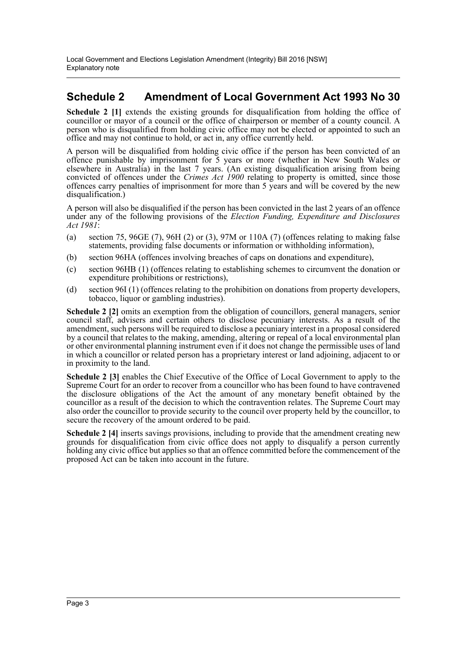## **Schedule 2 Amendment of Local Government Act 1993 No 30**

**Schedule 2** [1] extends the existing grounds for disqualification from holding the office of councillor or mayor of a council or the office of chairperson or member of a county council. A person who is disqualified from holding civic office may not be elected or appointed to such an office and may not continue to hold, or act in, any office currently held.

A person will be disqualified from holding civic office if the person has been convicted of an offence punishable by imprisonment for 5 years or more (whether in New South Wales or elsewhere in Australia) in the last 7 years. (An existing disqualification arising from being convicted of offences under the *Crimes Act 1900* relating to property is omitted, since those offences carry penalties of imprisonment for more than 5 years and will be covered by the new disqualification.)

A person will also be disqualified if the person has been convicted in the last 2 years of an offence under any of the following provisions of the *Election Funding, Expenditure and Disclosures Act 1981*:

- (a) section 75, 96GE (7), 96H (2) or (3), 97M or 110A (7) (offences relating to making false statements, providing false documents or information or withholding information),
- (b) section 96HA (offences involving breaches of caps on donations and expenditure),
- (c) section 96HB (1) (offences relating to establishing schemes to circumvent the donation or expenditure prohibitions or restrictions),
- (d) section 96I (1) (offences relating to the prohibition on donations from property developers, tobacco, liquor or gambling industries).

**Schedule 2 [2]** omits an exemption from the obligation of councillors, general managers, senior council staff, advisers and certain others to disclose pecuniary interests. As a result of the amendment, such persons will be required to disclose a pecuniary interest in a proposal considered by a council that relates to the making, amending, altering or repeal of a local environmental plan or other environmental planning instrument even if it does not change the permissible uses of land in which a councillor or related person has a proprietary interest or land adjoining, adjacent to or in proximity to the land.

**Schedule 2 [3]** enables the Chief Executive of the Office of Local Government to apply to the Supreme Court for an order to recover from a councillor who has been found to have contravened the disclosure obligations of the Act the amount of any monetary benefit obtained by the councillor as a result of the decision to which the contravention relates. The Supreme Court may also order the councillor to provide security to the council over property held by the councillor, to secure the recovery of the amount ordered to be paid.

**Schedule 2 [4]** inserts savings provisions, including to provide that the amendment creating new grounds for disqualification from civic office does not apply to disqualify a person currently holding any civic office but applies so that an offence committed before the commencement of the proposed Act can be taken into account in the future.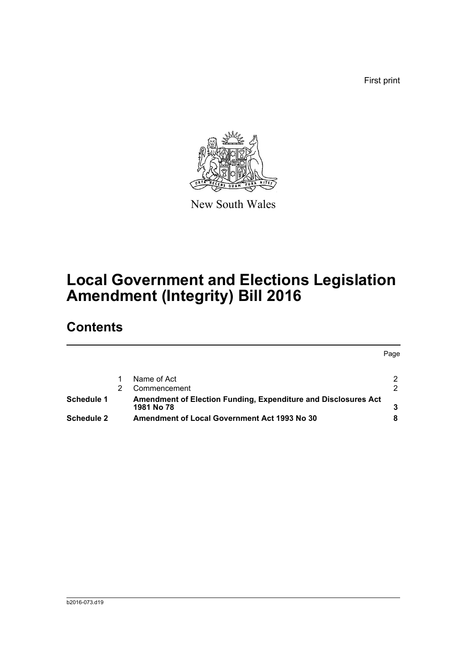First print



New South Wales

# **Local Government and Elections Legislation Amendment (Integrity) Bill 2016**

## **Contents**

|                          |  |                                                                | Page          |
|--------------------------|--|----------------------------------------------------------------|---------------|
|                          |  | Name of Act                                                    | 2             |
|                          |  | Commencement                                                   | $\mathcal{P}$ |
| Schedule 1<br>1981 No 78 |  | Amendment of Election Funding, Expenditure and Disclosures Act |               |
| <b>Schedule 2</b>        |  | <b>Amendment of Local Government Act 1993 No 30</b>            |               |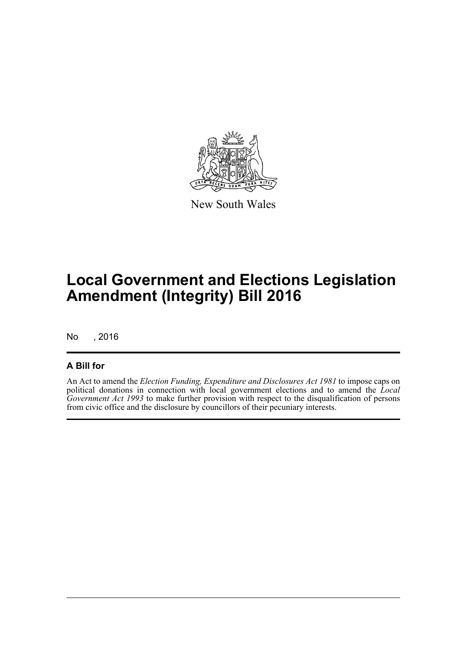

New South Wales

# **Local Government and Elections Legislation Amendment (Integrity) Bill 2016**

No , 2016

### **A Bill for**

An Act to amend the *Election Funding, Expenditure and Disclosures Act 1981* to impose caps on political donations in connection with local government elections and to amend the *Local Government Act 1993* to make further provision with respect to the disqualification of persons from civic office and the disclosure by councillors of their pecuniary interests.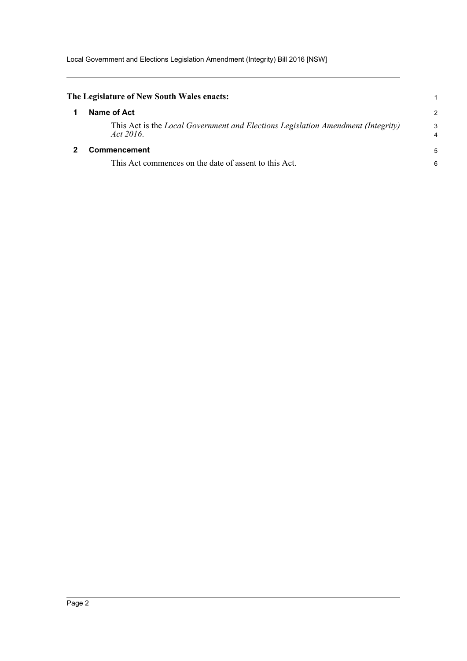<span id="page-5-1"></span><span id="page-5-0"></span>

| The Legislature of New South Wales enacts:                                                           |                     |
|------------------------------------------------------------------------------------------------------|---------------------|
| Name of Act                                                                                          | 2                   |
| This Act is the <i>Local Government and Elections Legislation Amendment (Integrity)</i><br>Act 2016. | 3<br>$\overline{4}$ |
| <b>Commencement</b>                                                                                  | 5                   |
| This Act commences on the date of assent to this Act.                                                | 6                   |
|                                                                                                      |                     |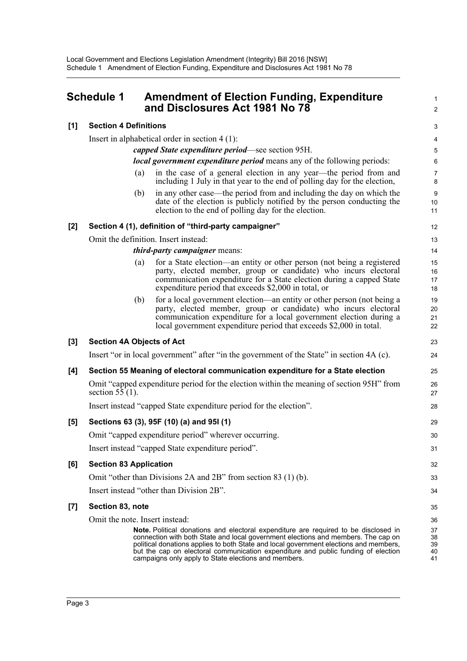### <span id="page-6-0"></span>**Schedule 1 Amendment of Election Funding, Expenditure and Disclosures Act 1981 No 78**

#### **[1] Section 4 Definitions**

Insert in alphabetical order in section 4 (1):

*capped State expenditure period*—see section 95H.

#### *local government expenditure period* means any of the following periods:

(a) in the case of a general election in any year—the period from and including 1 July in that year to the end of polling day for the election,

1  $\mathfrak{p}$ 

23 24

29 30 31

32 33 34

(b) in any other case—the period from and including the day on which the date of the election is publicly notified by the person conducting the election to the end of polling day for the election.

#### **[2] Section 4 (1), definition of "third-party campaigner"**

Omit the definition. Insert instead:

#### *third-party campaigner* means:

- (a) for a State election—an entity or other person (not being a registered party, elected member, group or candidate) who incurs electoral communication expenditure for a State election during a capped State expenditure period that exceeds \$2,000 in total, or
- (b) for a local government election—an entity or other person (not being a party, elected member, group or candidate) who incurs electoral communication expenditure for a local government election during a local government expenditure period that exceeds \$2,000 in total.

#### **[3] Section 4A Objects of Act**

Insert "or in local government" after "in the government of the State" in section 4A (c).

#### **[4] Section 55 Meaning of electoral communication expenditure for a State election**

Omit "capped expenditure period for the election within the meaning of section 95H" from section  $5\overline{5}(1)$ .

Insert instead "capped State expenditure period for the election".

#### **[5] Sections 63 (3), 95F (10) (a) and 95I (1)**

Omit "capped expenditure period" wherever occurring. Insert instead "capped State expenditure period".

#### **[6] Section 83 Application**

Omit "other than Divisions 2A and 2B" from section 83 (1) (b).

## Insert instead "other than Division 2B".

#### **[7] Section 83, note**

Omit the note. Insert instead:

**Note.** Political donations and electoral expenditure are required to be disclosed in connection with both State and local government elections and members. The cap on political donations applies to both State and local government elections and members, but the cap on electoral communication expenditure and public funding of election campaigns only apply to State elections and members.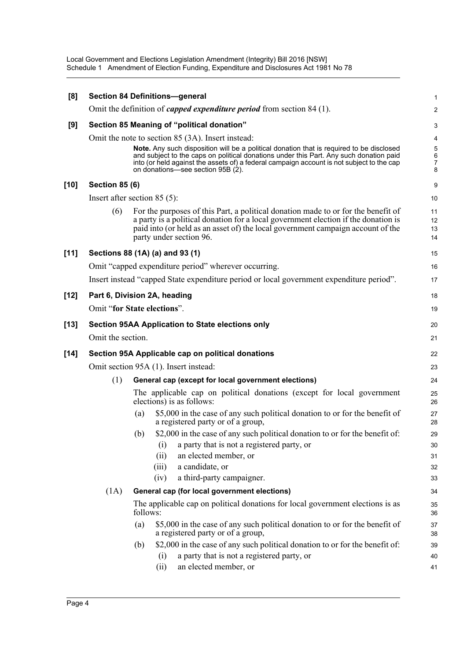Local Government and Elections Legislation Amendment (Integrity) Bill 2016 [NSW] Schedule 1 Amendment of Election Funding, Expenditure and Disclosures Act 1981 No 78

| [8]    |                                       |          | <b>Section 84 Definitions-general</b>                                                                                                                                                                                                                                                                                | $\mathbf{1}$                    |  |  |
|--------|---------------------------------------|----------|----------------------------------------------------------------------------------------------------------------------------------------------------------------------------------------------------------------------------------------------------------------------------------------------------------------------|---------------------------------|--|--|
|        |                                       |          | Omit the definition of <i>capped expenditure period</i> from section 84 (1).                                                                                                                                                                                                                                         | 2                               |  |  |
| [9]    |                                       |          | Section 85 Meaning of "political donation"                                                                                                                                                                                                                                                                           | $\ensuremath{\mathsf{3}}$       |  |  |
|        |                                       |          | Omit the note to section 85 (3A). Insert instead:                                                                                                                                                                                                                                                                    | 4                               |  |  |
|        |                                       |          | Note. Any such disposition will be a political donation that is required to be disclosed<br>and subject to the caps on political donations under this Part. Any such donation paid<br>into (or held against the assets of) a federal campaign account is not subject to the cap<br>on donations-see section 95B (2). | 5<br>6<br>$\boldsymbol{7}$<br>8 |  |  |
| [10]   | <b>Section 85 (6)</b>                 |          |                                                                                                                                                                                                                                                                                                                      | 9                               |  |  |
|        | Insert after section $85(5)$ :        |          |                                                                                                                                                                                                                                                                                                                      | 10                              |  |  |
|        | (6)                                   |          | For the purposes of this Part, a political donation made to or for the benefit of<br>a party is a political donation for a local government election if the donation is<br>paid into (or held as an asset of) the local government campaign account of the<br>party under section 96.                                | 11<br>12<br>13<br>14            |  |  |
| $[11]$ |                                       |          | Sections 88 (1A) (a) and 93 (1)                                                                                                                                                                                                                                                                                      | 15                              |  |  |
|        |                                       |          | Omit "capped expenditure period" wherever occurring.                                                                                                                                                                                                                                                                 | 16                              |  |  |
|        |                                       |          | Insert instead "capped State expenditure period or local government expenditure period".                                                                                                                                                                                                                             | 17                              |  |  |
| [12]   | Part 6, Division 2A, heading          |          |                                                                                                                                                                                                                                                                                                                      | 18                              |  |  |
|        | Omit "for State elections".           |          |                                                                                                                                                                                                                                                                                                                      |                                 |  |  |
| [13]   |                                       |          | <b>Section 95AA Application to State elections only</b>                                                                                                                                                                                                                                                              | 20                              |  |  |
|        | Omit the section.                     |          |                                                                                                                                                                                                                                                                                                                      | 21                              |  |  |
| [14]   |                                       |          | Section 95A Applicable cap on political donations                                                                                                                                                                                                                                                                    | 22                              |  |  |
|        | Omit section 95A (1). Insert instead: |          |                                                                                                                                                                                                                                                                                                                      |                                 |  |  |
|        | (1)                                   |          | General cap (except for local government elections)                                                                                                                                                                                                                                                                  | 24                              |  |  |
|        |                                       |          | The applicable cap on political donations (except for local government<br>elections) is as follows:                                                                                                                                                                                                                  | 25<br>26                        |  |  |
|        |                                       | (a)      | \$5,000 in the case of any such political donation to or for the benefit of<br>a registered party or of a group,                                                                                                                                                                                                     | 27<br>28                        |  |  |
|        |                                       | (b)      | \$2,000 in the case of any such political donation to or for the benefit of:<br>a party that is not a registered party, or<br>(i)<br>(ii)<br>an elected member, or<br>a candidate, or<br>(iii)<br>a third-party campaigner.<br>(iv)                                                                                  | 29<br>30<br>31<br>32<br>33      |  |  |
|        | (1A)                                  |          | General cap (for local government elections)                                                                                                                                                                                                                                                                         | 34                              |  |  |
|        |                                       | follows: | The applicable cap on political donations for local government elections is as                                                                                                                                                                                                                                       | 35<br>36                        |  |  |
|        |                                       | (a)      | \$5,000 in the case of any such political donation to or for the benefit of<br>a registered party or of a group,                                                                                                                                                                                                     | 37<br>38                        |  |  |
|        |                                       | (b)      | \$2,000 in the case of any such political donation to or for the benefit of:                                                                                                                                                                                                                                         | 39                              |  |  |
|        |                                       |          | a party that is not a registered party, or<br>(i)<br>an elected member, or<br>(ii)                                                                                                                                                                                                                                   | 40<br>41                        |  |  |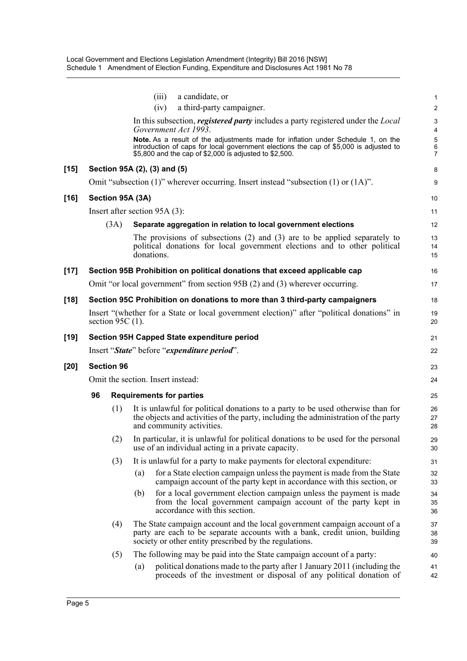|        |                   |                     | (iii)                             | a candidate, or                                                                                                                                                                                                                     | 1                       |  |  |  |
|--------|-------------------|---------------------|-----------------------------------|-------------------------------------------------------------------------------------------------------------------------------------------------------------------------------------------------------------------------------------|-------------------------|--|--|--|
|        |                   |                     | (iv)                              | a third-party campaigner.                                                                                                                                                                                                           | $\overline{\mathbf{c}}$ |  |  |  |
|        |                   |                     | Government Act 1993.              | In this subsection, <i>registered party</i> includes a party registered under the <i>Local</i>                                                                                                                                      | 3<br>4                  |  |  |  |
|        |                   |                     |                                   | Note. As a result of the adjustments made for inflation under Schedule 1, on the<br>introduction of caps for local government elections the cap of \$5,000 is adjusted to<br>\$5,800 and the cap of \$2,000 is adjusted to \$2,500. | 5<br>6<br>7             |  |  |  |
| $[15]$ |                   |                     | Section 95A (2), (3) and (5)      |                                                                                                                                                                                                                                     | 8                       |  |  |  |
|        |                   |                     |                                   | Omit "subsection $(1)$ " wherever occurring. Insert instead "subsection $(1)$ or $(1A)$ ".                                                                                                                                          | 9                       |  |  |  |
| $[16]$ |                   |                     | Section 95A (3A)                  |                                                                                                                                                                                                                                     | 10                      |  |  |  |
|        |                   |                     | Insert after section $95A(3)$ :   |                                                                                                                                                                                                                                     | 11                      |  |  |  |
|        |                   | (3A)                |                                   | Separate aggregation in relation to local government elections                                                                                                                                                                      | 12                      |  |  |  |
|        |                   |                     | donations.                        | The provisions of subsections $(2)$ and $(3)$ are to be applied separately to<br>political donations for local government elections and to other political                                                                          | 13<br>14<br>15          |  |  |  |
| $[17]$ |                   |                     |                                   | Section 95B Prohibition on political donations that exceed applicable cap                                                                                                                                                           | 16                      |  |  |  |
|        |                   |                     |                                   | Omit "or local government" from section 95B (2) and (3) wherever occurring.                                                                                                                                                         | 17                      |  |  |  |
| $[18]$ |                   |                     |                                   | Section 95C Prohibition on donations to more than 3 third-party campaigners                                                                                                                                                         | 18                      |  |  |  |
|        |                   | section 95C $(1)$ . |                                   | Insert "(whether for a State or local government election)" after "political donations" in                                                                                                                                          | 19<br>20                |  |  |  |
| $[19]$ |                   |                     |                                   | Section 95H Capped State expenditure period                                                                                                                                                                                         | 21                      |  |  |  |
|        |                   |                     |                                   | Insert "State" before "expenditure period".                                                                                                                                                                                         | 22                      |  |  |  |
| [20]   | <b>Section 96</b> |                     |                                   |                                                                                                                                                                                                                                     |                         |  |  |  |
|        |                   |                     | Omit the section. Insert instead: |                                                                                                                                                                                                                                     | 24                      |  |  |  |
|        | 96                |                     | <b>Requirements for parties</b>   |                                                                                                                                                                                                                                     | 25                      |  |  |  |
|        |                   | (1)                 |                                   | It is unlawful for political donations to a party to be used otherwise than for<br>the objects and activities of the party, including the administration of the party<br>and community activities.                                  | 26<br>27<br>28          |  |  |  |
|        |                   |                     |                                   | (2) In particular, it is unlawful for political donations to be used for the personal<br>use of an individual acting in a private capacity.                                                                                         | 29<br>30                |  |  |  |
|        |                   | (3)                 |                                   | It is unlawful for a party to make payments for electoral expenditure:                                                                                                                                                              | 31                      |  |  |  |
|        |                   |                     | (a)                               | for a State election campaign unless the payment is made from the State<br>campaign account of the party kept in accordance with this section, or                                                                                   | 32<br>33                |  |  |  |
|        |                   |                     | (b)                               | for a local government election campaign unless the payment is made<br>from the local government campaign account of the party kept in<br>accordance with this section.                                                             | 34<br>35<br>36          |  |  |  |
|        |                   | (4)                 |                                   | The State campaign account and the local government campaign account of a<br>party are each to be separate accounts with a bank, credit union, building<br>society or other entity prescribed by the regulations.                   | 37<br>38<br>39          |  |  |  |
|        |                   | (5)                 |                                   | The following may be paid into the State campaign account of a party:                                                                                                                                                               | 40                      |  |  |  |
|        |                   |                     | (a)                               | political donations made to the party after 1 January 2011 (including the<br>proceeds of the investment or disposal of any political donation of                                                                                    | 41<br>42                |  |  |  |
|        |                   |                     |                                   |                                                                                                                                                                                                                                     |                         |  |  |  |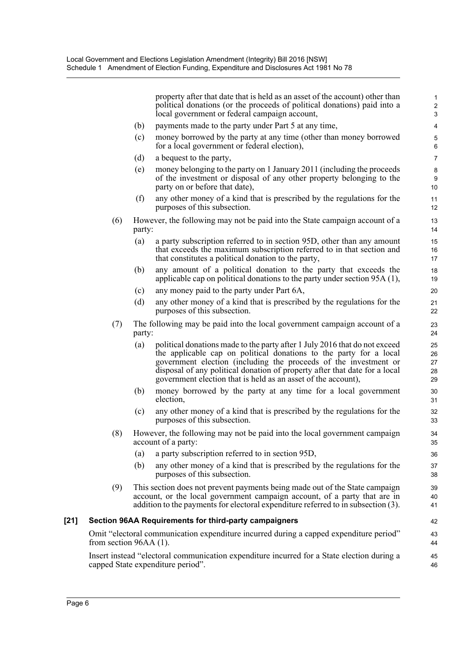|        |                                                                                                                                 |        | property after that date that is held as an asset of the account) other than<br>political donations (or the proceeds of political donations) paid into a<br>local government or federal campaign account,                                                                                                                                                           | 1<br>$\overline{c}$<br>3   |  |  |
|--------|---------------------------------------------------------------------------------------------------------------------------------|--------|---------------------------------------------------------------------------------------------------------------------------------------------------------------------------------------------------------------------------------------------------------------------------------------------------------------------------------------------------------------------|----------------------------|--|--|
|        |                                                                                                                                 | (b)    | payments made to the party under Part 5 at any time,                                                                                                                                                                                                                                                                                                                | $\overline{\mathbf{4}}$    |  |  |
|        |                                                                                                                                 | (c)    | money borrowed by the party at any time (other than money borrowed<br>for a local government or federal election),                                                                                                                                                                                                                                                  | $\mathbf 5$<br>6           |  |  |
|        |                                                                                                                                 | (d)    | a bequest to the party,                                                                                                                                                                                                                                                                                                                                             | $\overline{7}$             |  |  |
|        |                                                                                                                                 | (e)    | money belonging to the party on 1 January 2011 (including the proceeds<br>of the investment or disposal of any other property belonging to the<br>party on or before that date),                                                                                                                                                                                    | 8<br>9<br>10               |  |  |
|        |                                                                                                                                 | (f)    | any other money of a kind that is prescribed by the regulations for the<br>purposes of this subsection.                                                                                                                                                                                                                                                             | 11<br>12                   |  |  |
|        | (6)                                                                                                                             | party: | However, the following may not be paid into the State campaign account of a                                                                                                                                                                                                                                                                                         | 13<br>14                   |  |  |
|        |                                                                                                                                 | (a)    | a party subscription referred to in section 95D, other than any amount<br>that exceeds the maximum subscription referred to in that section and<br>that constitutes a political donation to the party,                                                                                                                                                              | 15<br>16<br>17             |  |  |
|        |                                                                                                                                 | (b)    | any amount of a political donation to the party that exceeds the<br>applicable cap on political donations to the party under section $95A(1)$ ,                                                                                                                                                                                                                     | 18<br>19                   |  |  |
|        |                                                                                                                                 | (c)    | any money paid to the party under Part 6A,                                                                                                                                                                                                                                                                                                                          | 20                         |  |  |
|        |                                                                                                                                 | (d)    | any other money of a kind that is prescribed by the regulations for the<br>purposes of this subsection.                                                                                                                                                                                                                                                             | 21<br>22                   |  |  |
|        | (7)                                                                                                                             | party: | The following may be paid into the local government campaign account of a                                                                                                                                                                                                                                                                                           | 23<br>24                   |  |  |
|        |                                                                                                                                 | (a)    | political donations made to the party after 1 July 2016 that do not exceed<br>the applicable cap on political donations to the party for a local<br>government election (including the proceeds of the investment or<br>disposal of any political donation of property after that date for a local<br>government election that is held as an asset of the account), | 25<br>26<br>27<br>28<br>29 |  |  |
|        |                                                                                                                                 | (b)    | money borrowed by the party at any time for a local government<br>election.                                                                                                                                                                                                                                                                                         | 30<br>31                   |  |  |
|        |                                                                                                                                 | (c)    | any other money of a kind that is prescribed by the regulations for the<br>purposes of this subsection.                                                                                                                                                                                                                                                             | 32<br>33                   |  |  |
|        | (8)                                                                                                                             |        | However, the following may not be paid into the local government campaign<br>account of a party:                                                                                                                                                                                                                                                                    | 34<br>35                   |  |  |
|        |                                                                                                                                 | (a)    | a party subscription referred to in section 95D,                                                                                                                                                                                                                                                                                                                    | 36                         |  |  |
|        |                                                                                                                                 | (b)    | any other money of a kind that is prescribed by the regulations for the<br>purposes of this subsection.                                                                                                                                                                                                                                                             | 37<br>38                   |  |  |
|        | (9)                                                                                                                             |        | This section does not prevent payments being made out of the State campaign<br>account, or the local government campaign account, of a party that are in<br>addition to the payments for electoral expenditure referred to in subsection (3).                                                                                                                       | 39<br>40<br>41             |  |  |
| $[21]$ | Section 96AA Requirements for third-party campaigners                                                                           |        |                                                                                                                                                                                                                                                                                                                                                                     |                            |  |  |
|        | Omit "electoral communication expenditure incurred during a capped expenditure period"<br>from section $96AA(1)$ .              |        |                                                                                                                                                                                                                                                                                                                                                                     |                            |  |  |
|        | Insert instead "electoral communication expenditure incurred for a State election during a<br>capped State expenditure period". |        |                                                                                                                                                                                                                                                                                                                                                                     |                            |  |  |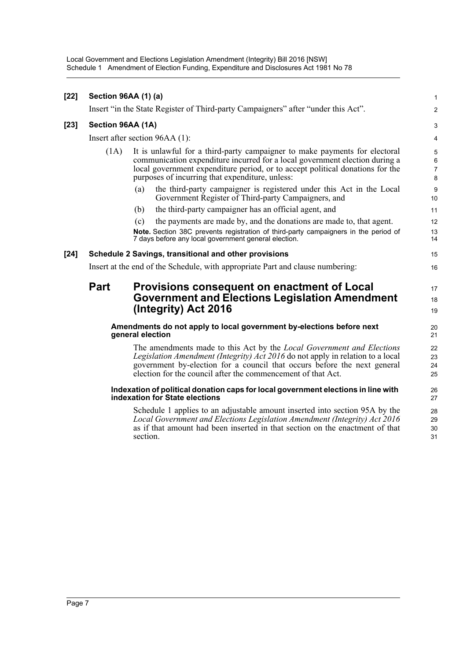Local Government and Elections Legislation Amendment (Integrity) Bill 2016 [NSW] Schedule 1 Amendment of Election Funding, Expenditure and Disclosures Act 1981 No 78

| $[22]$ | <b>Section 96AA (1) (a)</b>                                                              |                                                                                                                                                                                                                                                                                                            | $\mathbf{1}$         |  |  |
|--------|------------------------------------------------------------------------------------------|------------------------------------------------------------------------------------------------------------------------------------------------------------------------------------------------------------------------------------------------------------------------------------------------------------|----------------------|--|--|
|        |                                                                                          | Insert "in the State Register of Third-party Campaigners" after "under this Act".                                                                                                                                                                                                                          | 2                    |  |  |
| $[23]$ | Section 96AA (1A)                                                                        |                                                                                                                                                                                                                                                                                                            |                      |  |  |
|        | Insert after section 96AA (1):                                                           |                                                                                                                                                                                                                                                                                                            |                      |  |  |
|        | (1A)                                                                                     | It is unlawful for a third-party campaigner to make payments for electoral<br>communication expenditure incurred for a local government election during a<br>local government expenditure period, or to accept political donations for the<br>purposes of incurring that expenditure, unless:              |                      |  |  |
|        |                                                                                          | the third-party campaigner is registered under this Act in the Local<br>(a)<br>Government Register of Third-party Campaigners, and                                                                                                                                                                         | 9<br>10              |  |  |
|        |                                                                                          | the third-party campaigner has an official agent, and<br>(b)                                                                                                                                                                                                                                               | 11                   |  |  |
|        |                                                                                          | the payments are made by, and the donations are made to, that agent.<br>(c)                                                                                                                                                                                                                                | 12                   |  |  |
|        |                                                                                          | Note. Section 38C prevents registration of third-party campaigners in the period of<br>7 days before any local government general election.                                                                                                                                                                | 13<br>14             |  |  |
| $[24]$ | Schedule 2 Savings, transitional and other provisions                                    |                                                                                                                                                                                                                                                                                                            |                      |  |  |
|        | Insert at the end of the Schedule, with appropriate Part and clause numbering:           |                                                                                                                                                                                                                                                                                                            |                      |  |  |
|        | <b>Part</b>                                                                              | Provisions consequent on enactment of Local<br><b>Government and Elections Legislation Amendment</b><br>(Integrity) Act 2016                                                                                                                                                                               | 17<br>18<br>19       |  |  |
|        | Amendments do not apply to local government by-elections before next<br>general election |                                                                                                                                                                                                                                                                                                            |                      |  |  |
|        |                                                                                          | The amendments made to this Act by the <i>Local Government and Elections</i><br>Legislation Amendment (Integrity) Act 2016 do not apply in relation to a local<br>government by-election for a council that occurs before the next general<br>election for the council after the commencement of that Act. | 22<br>23<br>24<br>25 |  |  |
|        |                                                                                          | Indexation of political donation caps for local government elections in line with<br>indexation for State elections                                                                                                                                                                                        | 26<br>27             |  |  |
|        |                                                                                          | Schedule 1 applies to an adjustable amount inserted into section 95A by the<br>Local Government and Elections Legislation Amendment (Integrity) Act 2016<br>as if that amount had been inserted in that section on the enactment of that<br>section.                                                       | 28<br>29<br>30<br>31 |  |  |
|        |                                                                                          |                                                                                                                                                                                                                                                                                                            |                      |  |  |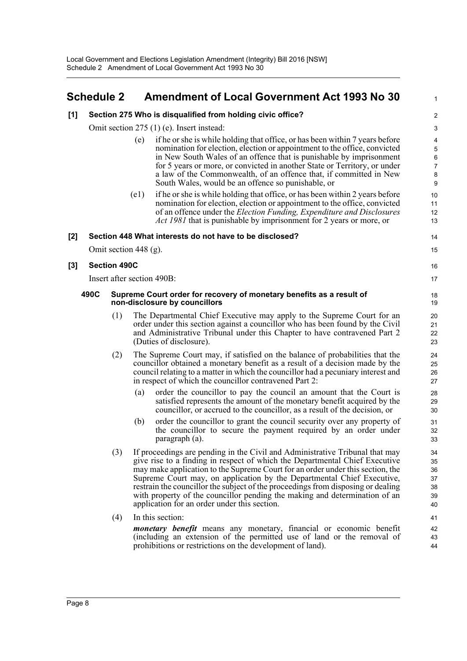### <span id="page-11-0"></span>**Schedule 2 Amendment of Local Government Act 1993 No 30**

1

| [1]   |      |                                           |                                                                                                       | Section 275 Who is disqualified from holding civic office?                                                                                                                                                                                                                                                                                                                                                                                                                                                                                | $\overline{c}$                                                               |  |
|-------|------|-------------------------------------------|-------------------------------------------------------------------------------------------------------|-------------------------------------------------------------------------------------------------------------------------------------------------------------------------------------------------------------------------------------------------------------------------------------------------------------------------------------------------------------------------------------------------------------------------------------------------------------------------------------------------------------------------------------------|------------------------------------------------------------------------------|--|
|       |      | Omit section 275 (1) (e). Insert instead: |                                                                                                       |                                                                                                                                                                                                                                                                                                                                                                                                                                                                                                                                           |                                                                              |  |
|       |      |                                           | (e)                                                                                                   | if he or she is while holding that office, or has been within 7 years before<br>nomination for election, election or appointment to the office, convicted<br>in New South Wales of an offence that is punishable by imprisonment<br>for 5 years or more, or convicted in another State or Territory, or under<br>a law of the Commonwealth, of an offence that, if committed in New<br>South Wales, would be an offence so punishable, or                                                                                                 | $\overline{\mathbf{4}}$<br>$\overline{5}$<br>6<br>$\boldsymbol{7}$<br>8<br>9 |  |
|       |      |                                           | (e1)                                                                                                  | if he or she is while holding that office, or has been within 2 years before<br>nomination for election, election or appointment to the office, convicted<br>of an offence under the Election Funding, Expenditure and Disclosures<br><i>Act 1981</i> that is punishable by imprisonment for 2 years or more, or                                                                                                                                                                                                                          | 10<br>11<br>12<br>13                                                         |  |
| $[2]$ |      |                                           |                                                                                                       | Section 448 What interests do not have to be disclosed?                                                                                                                                                                                                                                                                                                                                                                                                                                                                                   | 14                                                                           |  |
|       |      |                                           | Omit section $448$ (g).                                                                               |                                                                                                                                                                                                                                                                                                                                                                                                                                                                                                                                           | 15                                                                           |  |
| $[3]$ |      | <b>Section 490C</b>                       |                                                                                                       |                                                                                                                                                                                                                                                                                                                                                                                                                                                                                                                                           | 16                                                                           |  |
|       |      |                                           |                                                                                                       | Insert after section 490B:                                                                                                                                                                                                                                                                                                                                                                                                                                                                                                                | 17                                                                           |  |
|       | 490C |                                           | Supreme Court order for recovery of monetary benefits as a result of<br>non-disclosure by councillors |                                                                                                                                                                                                                                                                                                                                                                                                                                                                                                                                           |                                                                              |  |
|       |      | (1)                                       |                                                                                                       | The Departmental Chief Executive may apply to the Supreme Court for an<br>order under this section against a councillor who has been found by the Civil<br>and Administrative Tribunal under this Chapter to have contravened Part 2<br>(Duties of disclosure).                                                                                                                                                                                                                                                                           | 20<br>21<br>22<br>23                                                         |  |
|       |      | (2)                                       |                                                                                                       | The Supreme Court may, if satisfied on the balance of probabilities that the<br>councillor obtained a monetary benefit as a result of a decision made by the<br>council relating to a matter in which the council or had a pecuniary interest and<br>in respect of which the councillor contravened Part 2:                                                                                                                                                                                                                               | 24<br>25<br>26<br>27                                                         |  |
|       |      |                                           | (a)                                                                                                   | order the councillor to pay the council an amount that the Court is<br>satisfied represents the amount of the monetary benefit acquired by the<br>councillor, or accrued to the councillor, as a result of the decision, or                                                                                                                                                                                                                                                                                                               | 28<br>29<br>30                                                               |  |
|       |      |                                           | (b)                                                                                                   | order the councillor to grant the council security over any property of<br>the councillor to secure the payment required by an order under<br>paragraph (a).                                                                                                                                                                                                                                                                                                                                                                              | 31<br>32<br>33                                                               |  |
|       |      | (3)                                       |                                                                                                       | If proceedings are pending in the Civil and Administrative Tribunal that may<br>give rise to a finding in respect of which the Departmental Chief Executive<br>may make application to the Supreme Court for an order under this section, the<br>Supreme Court may, on application by the Departmental Chief Executive,<br>restrain the councillor the subject of the proceedings from disposing or dealing<br>with property of the councillor pending the making and determination of an<br>application for an order under this section. | 34<br>35<br>36<br>37<br>38<br>39<br>40                                       |  |
|       |      | (4)                                       |                                                                                                       | In this section:                                                                                                                                                                                                                                                                                                                                                                                                                                                                                                                          | 41                                                                           |  |
|       |      |                                           |                                                                                                       | <i>monetary benefit</i> means any monetary, financial or economic benefit<br>(including an extension of the permitted use of land or the removal of<br>prohibitions or restrictions on the development of land).                                                                                                                                                                                                                                                                                                                          | 42<br>43<br>44                                                               |  |